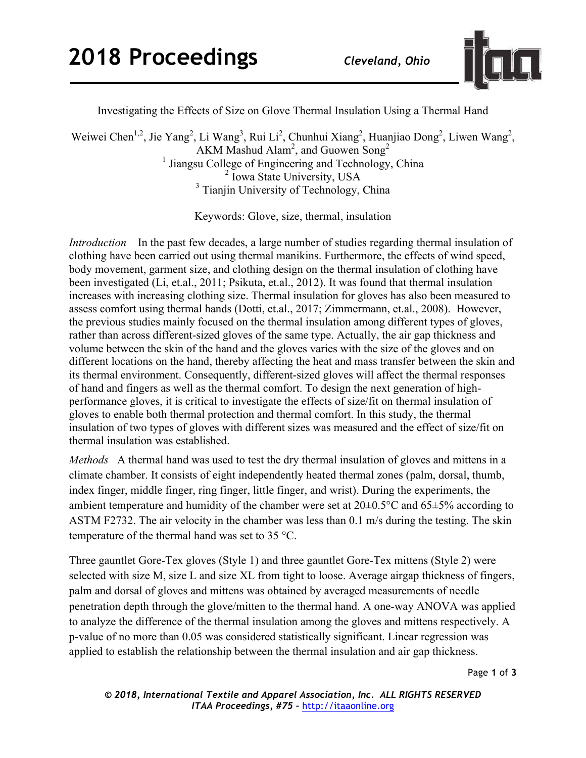

Investigating the Effects of Size on Glove Thermal Insulation Using a Thermal Hand

Weiwei Chen<sup>1,2</sup>, Jie Yang<sup>2</sup>, Li Wang<sup>3</sup>, Rui Li<sup>2</sup>, Chunhui Xiang<sup>2</sup>, Huanjiao Dong<sup>2</sup>, Liwen Wang<sup>2</sup>, AKM Mashud Alam<sup>2</sup>, and Guowen Song<sup>2</sup>  $<sup>1</sup>$  Jiangsu College of Engineering and Technology, China</sup> <sup>2</sup> Iowa State University, USA <sup>3</sup> Tianjin University of Technology, China

Keywords: Glove, size, thermal, insulation

*Introduction* In the past few decades, a large number of studies regarding thermal insulation of clothing have been carried out using thermal manikins. Furthermore, the effects of wind speed, body movement, garment size, and clothing design on the thermal insulation of clothing have been investigated (Li, et.al., 2011; Psikuta, et.al., 2012). It was found that thermal insulation increases with increasing clothing size. Thermal insulation for gloves has also been measured to assess comfort using thermal hands (Dotti, et.al., 2017; Zimmermann, et.al., 2008). However, the previous studies mainly focused on the thermal insulation among different types of gloves, rather than across different-sized gloves of the same type. Actually, the air gap thickness and volume between the skin of the hand and the gloves varies with the size of the gloves and on different locations on the hand, thereby affecting the heat and mass transfer between the skin and its thermal environment. Consequently, different-sized gloves will affect the thermal responses of hand and fingers as well as the thermal comfort. To design the next generation of highperformance gloves, it is critical to investigate the effects of size/fit on thermal insulation of gloves to enable both thermal protection and thermal comfort. In this study, the thermal insulation of two types of gloves with different sizes was measured and the effect of size/fit on thermal insulation was established.

*Methods* A thermal hand was used to test the dry thermal insulation of gloves and mittens in a climate chamber. It consists of eight independently heated thermal zones (palm, dorsal, thumb, index finger, middle finger, ring finger, little finger, and wrist). During the experiments, the ambient temperature and humidity of the chamber were set at 20±0.5°C and 65±5% according to ASTM F2732. The air velocity in the chamber was less than 0.1 m/s during the testing. The skin temperature of the thermal hand was set to 35 °C.

Three gauntlet Gore-Tex gloves (Style 1) and three gauntlet Gore-Tex mittens (Style 2) were selected with size M, size L and size XL from tight to loose. Average airgap thickness of fingers, palm and dorsal of gloves and mittens was obtained by averaged measurements of needle penetration depth through the glove/mitten to the thermal hand. A one-way ANOVA was applied to analyze the difference of the thermal insulation among the gloves and mittens respectively. A p-value of no more than 0.05 was considered statistically significant. Linear regression was applied to establish the relationship between the thermal insulation and air gap thickness.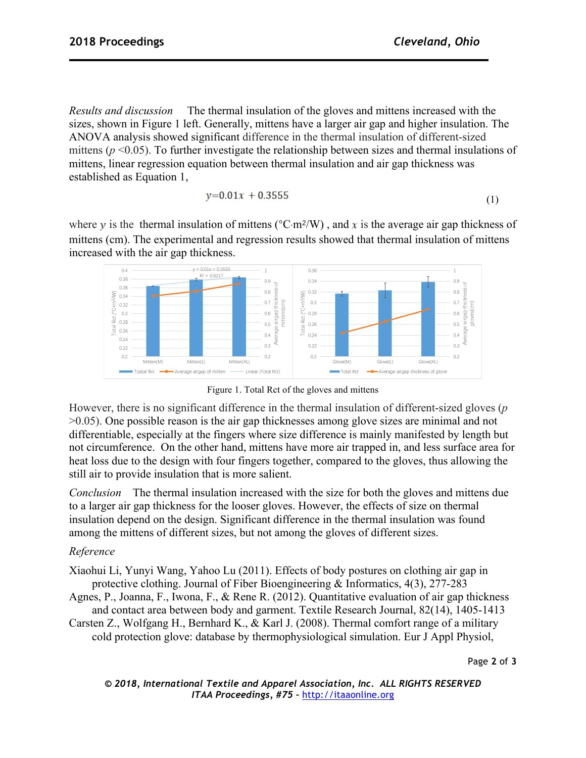*Results and discussion* The thermal insulation of the gloves and mittens increased with the sizes, shown in Figure 1 left. Generally, mittens have a larger air gap and higher insulation. The ANOVA analysis showed significant difference in the thermal insulation of different-sized mittens ( $p \le 0.05$ ). To further investigate the relationship between sizes and thermal insulations of mittens, linear regression equation between thermal insulation and air gap thickness was established as Equation 1,

$$
y=0.01x + 0.3555 \tag{1}
$$

where y is the thermal insulation of mittens ( ${}^{\circ}C \cdot m^2/W$ ), and x is the average air gap thickness of mittens (cm). The experimental and regression results showed that thermal insulation of mittens increased with the air gap thickness.



Figure 1. Total Rct of the gloves and mittens

However, there is no significant difference in the thermal insulation of different-sized gloves (*p* >0.05). One possible reason is the air gap thicknesses among glove sizes are minimal and not differentiable, especially at the fingers where size difference is mainly manifested by length but not circumference. On the other hand, mittens have more air trapped in, and less surface area for heat loss due to the design with four fingers together, compared to the gloves, thus allowing the still air to provide insulation that is more salient.

*Conclusion* The thermal insulation increased with the size for both the gloves and mittens due to a larger air gap thickness for the looser gloves. However, the effects of size on thermal insulation depend on the design. Significant difference in the thermal insulation was found among the mittens of different sizes, but not among the gloves of different sizes.

## *Reference*

Xiaohui Li, Yunyi Wang, Yahoo Lu (2011). Effects of body postures on clothing air gap in protective clothing. Journal of Fiber Bioengineering & Informatics, 4(3), 277-283

Agnes, P., Joanna, F., Iwona, F., & Rene R. (2012). Quantitative evaluation of air gap thickness and contact area between body and garment. Textile Research Journal, 82(14), 1405-1413

Carsten Z., Wolfgang H., Bernhard K., & Karl J. (2008). Thermal comfort range of a military cold protection glove: database by thermophysiological simulation. Eur J Appl Physiol,

Page **2** of **3**

*© 2018, International Textile and Apparel Association, Inc. ALL RIGHTS RESERVED ITAA Proceedings, #75 –* http://itaaonline.org